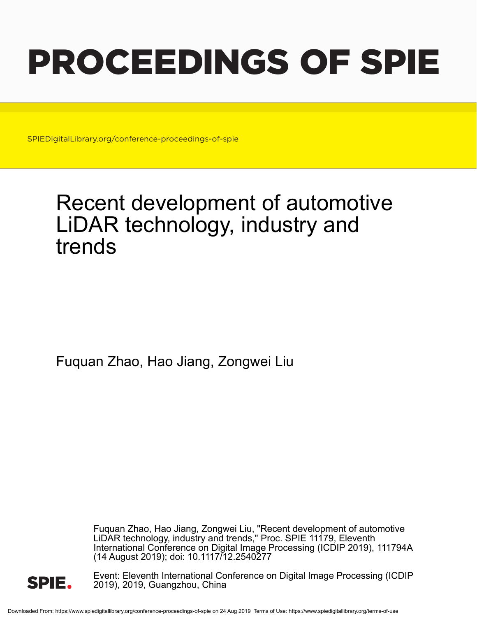# PROCEEDINGS OF SPIE

SPIEDigitalLibrary.org/conference-proceedings-of-spie

## Recent development of automotive LiDAR technology, industry and trends

Fuquan Zhao, Hao Jiang, Zongwei Liu

Fuquan Zhao, Hao Jiang, Zongwei Liu, "Recent development of automotive LiDAR technology, industry and trends," Proc. SPIE 11179, Eleventh International Conference on Digital Image Processing (ICDIP 2019), 111794A (14 August 2019); doi: 10.1117/12.2540277



Event: Eleventh International Conference on Digital Image Processing (ICDIP 2019), 2019, Guangzhou, China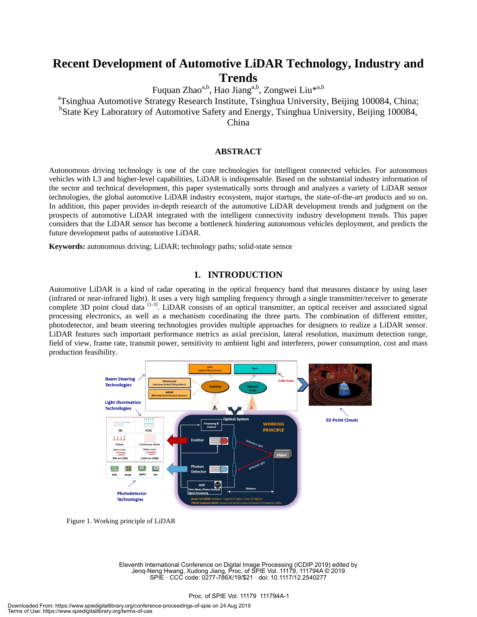### **Recent Development of Automotive LiDAR Technology, Industry and Trends**

Fuquan Zhao<sup>a,b</sup>, Hao Jiang<sup>a,b</sup>, Zongwei Liu<sup>\*a,b</sup>

<sup>a</sup>Tsinghua Automotive Strategy Research Institute, Tsinghua University, Beijing 100084, China;

<sup>b</sup>State Key Laboratory of Automotive Safety and Energy, Tsinghua University, Beijing 100084,

China

#### **ABSTRACT**

Autonomous driving technology is one of the core technologies for intelligent connected vehicles. For autonomous vehicles with L3 and higher-level capabilities, LiDAR is indispensable. Based on the substantial industry information of the sector and technical development, this paper systematically sorts through and analyzes a variety of LiDAR sensor technologies, the global automotive LiDAR industry ecosystem, major startups, the state-of-the-art products and so on. In addition, this paper provides in-depth research of the automotive LiDAR development trends and judgment on the prospects of automotive LiDAR integrated with the intelligent connectivity industry development trends. This paper considers that the LiDAR sensor has become a bottleneck hindering autonomous vehicles deployment, and predicts the future development paths of automotive LiDAR.

**Keywords:** autonomous driving; LiDAR; technology paths; solid-state sensor

#### **1. INTRODUCTION**

Automotive LiDAR is a kind of radar operating in the optical frequency band that measures distance by using laser (infrared or near-infrared light). It uses a very high sampling frequency through a single transmitter/receiver to generate complete 3D point cloud data <sup>[1-3]</sup>. LiDAR consists of an optical transmitter, an optical receiver and associated signal processing electronics, as well as a mechanism coordinating the three parts. The combination of different emitter, photodetector, and beam steering technologies provides multiple approaches for designers to realize a LiDAR sensor. LiDAR features such important performance metrics as axial precision, lateral resolution, maximum detection range, field of view, frame rate, transmit power, sensitivity to ambient light and interferers, power consumption, cost and mass production feasibility.



Figure 1. Working principle of LiDAR

Eleventh International Conference on Digital Image Processing (ICDIP 2019) edited by Jenq-Neng Hwang, Xudong Jiang, Proc. of SPIE Vol. 11179, 111794A © 2019 SPIE · CCC code: 0277-786X/19/\$21 · doi: 10.1117/12.2540277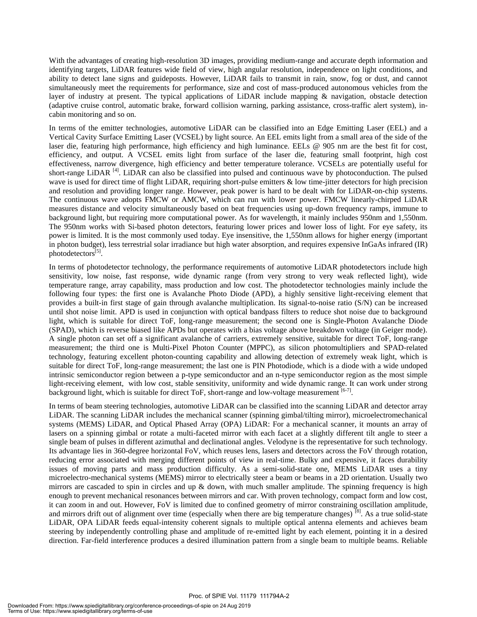With the advantages of creating high-resolution 3D images, providing medium-range and accurate depth information and identifying targets, LiDAR features wide field of view, high angular resolution, independence on light conditions, and ability to detect lane signs and guideposts. However, LiDAR fails to transmit in rain, snow, fog or dust, and cannot simultaneously meet the requirements for performance, size and cost of mass-produced autonomous vehicles from the layer of industry at present. The typical applications of LiDAR include mapping & navigation, obstacle detection (adaptive cruise control, automatic brake, forward collision warning, parking assistance, cross-traffic alert system), incabin monitoring and so on.

In terms of the emitter technologies, automotive LiDAR can be classified into an Edge Emitting Laser (EEL) and a Vertical Cavity Surface Emitting Laser (VCSEL) by light source. An EEL emits light from a small area of the side of the laser die, featuring high performance, high efficiency and high luminance. EELs @ 905 nm are the best fit for cost, efficiency, and output. A VCSEL emits light from surface of the laser die, featuring small footprint, high cost effectiveness, narrow divergence, high efficiency and better temperature tolerance. VCSELs are potentially useful for short-range LiDAR [4]. LiDAR can also be classified into pulsed and continuous wave by photoconduction. The pulsed wave is used for direct time of flight LiDAR, requiring short-pulse emitters & low time-jitter detectors for high precision and resolution and providing longer range. However, peak power is hard to be dealt with for LiDAR-on-chip systems. The continuous wave adopts FMCW or AMCW, which can run with lower power. FMCW linearly-chirped LiDAR measures distance and velocity simultaneously based on beat frequencies using up-down frequency ramps, immune to background light, but requiring more computational power. As for wavelength, it mainly includes 950nm and 1,550nm. The 950nm works with Si-based photon detectors, featuring lower prices and lower loss of light. For eye safety, its power is limited. It is the most commonly used today. Eye insensitive, the 1,550nm allows for higher energy (important in photon budget), less terrestrial solar irradiance but high water absorption, and requires expensive InGaAs infrared (IR) photodetectors<sup>[5]</sup>.

In terms of photodetector technology, the performance requirements of automotive LiDAR photodetectors include high sensitivity, low noise, fast response, wide dynamic range (from very strong to very weak reflected light), wide temperature range, array capability, mass production and low cost. The photodetector technologies mainly include the following four types: the first one is Avalanche Photo Diode (APD), a highly sensitive light-receiving element that provides a built-in first stage of gain through avalanche multiplication. Its signal-to-noise ratio (S/N) can be increased until shot noise limit. APD is used in conjunction with optical bandpass filters to reduce shot noise due to background light, which is suitable for direct ToF, long-range measurement; the second one is Single-Photon Avalanche Diode (SPAD), which is reverse biased like APDs but operates with a bias voltage above breakdown voltage (in Geiger mode). A single photon can set off a significant avalanche of carriers, extremely sensitive, suitable for direct ToF, long-range measurement; the third one is Multi-Pixel Photon Counter (MPPC), as silicon photomultipliers and SPAD-related technology, featuring excellent photon-counting capability and allowing detection of extremely weak light, which is suitable for direct ToF, long-range measurement; the last one is PIN Photodiode, which is a diode with a wide undoped intrinsic semiconductor region between a p-type semiconductor and an n-type semiconductor region as the most simple light-receiving element, with low cost, stable sensitivity, uniformity and wide dynamic range. It can work under strong background light, which is suitable for direct ToF, short-range and low-voltage measurement [6-7].

In terms of beam steering technologies, automotive LiDAR can be classified into the scanning LiDAR and detector array LiDAR. The scanning LiDAR includes the mechanical scanner (spinning gimbal/tilting mirror), microelectromechanical systems (MEMS) LiDAR, and Optical Phased Array (OPA) LiDAR: For a mechanical scanner, it mounts an array of lasers on a spinning gimbal or rotate a multi-faceted mirror with each facet at a slightly different tilt angle to steer a single beam of pulses in different azimuthal and declinational angles. Velodyne is the representative for such technology. Its advantage lies in 360-degree horizontal FoV, which reuses lens, lasers and detectors across the FoV through rotation, reducing error associated with merging different points of view in real-time. Bulky and expensive, it faces durability issues of moving parts and mass production difficulty. As a semi-solid-state one, MEMS LiDAR uses a tiny microelectro-mechanical systems (MEMS) mirror to electrically steer a beam or beams in a 2D orientation. Usually two mirrors are cascaded to spin in circles and up  $\&$  down, with much smaller amplitude. The spinning frequency is high enough to prevent mechanical resonances between mirrors and car. With proven technology, compact form and low cost, it can zoom in and out. However, FoV is limited due to confined geometry of mirror constraining oscillation amplitude, and mirrors drift out of alignment over time (especially when there are big temperature changes)  $^{[8]}$ . As a true solid-state LiDAR, OPA LiDAR feeds equal-intensity coherent signals to multiple optical antenna elements and achieves beam steering by independently controlling phase and amplitude of re-emitted light by each element, pointing it in a desired direction. Far-field interference produces a desired illumination pattern from a single beam to multiple beams. Reliable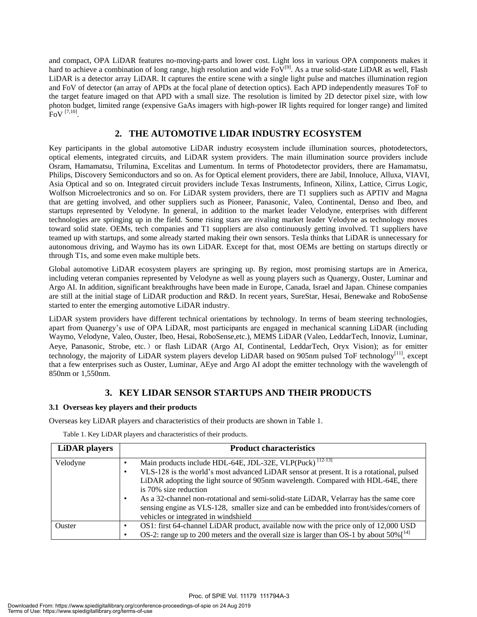and compact, OPA LiDAR features no-moving-parts and lower cost. Light loss in various OPA components makes it hard to achieve a combination of long range, high resolution and wide  $FoV^{[9]}$ . As a true solid-state LiDAR as well, Flash LiDAR is a detector array LiDAR. It captures the entire scene with a single light pulse and matches illumination region and FoV of detector (an array of APDs at the focal plane of detection optics). Each APD independently measures ToF to the target feature imaged on that APD with a small size. The resolution is limited by 2D detector pixel size, with low photon budget, limited range (expensive GaAs imagers with high-power IR lights required for longer range) and limited  ${\rm FoV}$  [7,10].

#### **2. THE AUTOMOTIVE LIDAR INDUSTRY ECOSYSTEM**

Key participants in the global automotive LiDAR industry ecosystem include illumination sources, photodetectors, optical elements, integrated circuits, and LiDAR system providers. The main illumination source providers include Osram, Hamamatsu, Trilumina, Excelitas and Lumentum. In terms of Photodetector providers, there are Hamamatsu, Philips, Discovery Semiconductors and so on. As for Optical element providers, there are Jabil, Innoluce, Alluxa, VIAVI, Asia Optical and so on. Integrated circuit providers include Texas Instruments, Infineon, Xilinx, Lattice, Cirrus Logic, Wolfson Microelectronics and so on. For LiDAR system providers, there are T1 suppliers such as APTIV and Magna that are getting involved, and other suppliers such as Pioneer, Panasonic, Valeo, Continental, Denso and Ibeo, and startups represented by Velodyne. In general, in addition to the market leader Velodyne, enterprises with different technologies are springing up in the field. Some rising stars are rivaling market leader Velodyne as technology moves toward solid state. OEMs, tech companies and T1 suppliers are also continuously getting involved. T1 suppliers have teamed up with startups, and some already started making their own sensors. Tesla thinks that LiDAR is unnecessary for autonomous driving, and Waymo has its own LiDAR. Except for that, most OEMs are betting on startups directly or through T1s, and some even make multiple bets.

Global automotive LiDAR ecosystem players are springing up. By region, most promising startups are in America, including veteran companies represented by Velodyne as well as young players such as Quanergy, Ouster, Luminar and Argo AI. In addition, significant breakthroughs have been made in Europe, Canada, Israel and Japan. Chinese companies are still at the initial stage of LiDAR production and R&D. In recent years, SureStar, Hesai, Benewake and RoboSense started to enter the emerging automotive LiDAR industry.

LiDAR system providers have different technical orientations by technology. In terms of beam steering technologies, apart from Quanergy's use of OPA LiDAR, most participants are engaged in mechanical scanning LiDAR (including Waymo, Velodyne, Valeo, Ouster, Ibeo, Hesai, RoboSense,etc.), MEMS LiDAR (Valeo, LeddarTech, Innoviz, Luminar, Aeye, Panasonic, Strobe, etc.) or flash LiDAR (Argo AI, Continental, LeddarTech, Oryx Vision); as for emitter technology, the majority of LiDAR system players develop LiDAR based on 905nm pulsed ToF technology<sup>[11]</sup>, except that a few enterprises such as Ouster, Luminar, AEye and Argo AI adopt the emitter technology with the wavelength of 850nm or 1,550nm.

#### **3. KEY LIDAR SENSOR STARTUPS AND THEIR PRODUCTS**

#### **3.1 Overseas key players and their products**

Overseas key LiDAR players and characteristics of their products are shown in Table 1.

Table 1. Key LiDAR players and characteristics of their products.

| <b>LiDAR</b> players | <b>Product characteristics</b>                                                                                                                                                                                                                                                                                                                                                                                                                                                                             |
|----------------------|------------------------------------------------------------------------------------------------------------------------------------------------------------------------------------------------------------------------------------------------------------------------------------------------------------------------------------------------------------------------------------------------------------------------------------------------------------------------------------------------------------|
| Velodyne             | Main products include HDL-64E, JDL-32E, VLP(Puck) <sup>[12-13]</sup><br>VLS-128 is the world's most advanced LiDAR sensor at present. It is a rotational, pulsed<br>LiDAR adopting the light source of 905nm wavelength. Compared with HDL-64E, there<br>is 70% size reduction<br>As a 32-channel non-rotational and semi-solid-state LiDAR, Velarray has the same core<br>sensing engine as VLS-128, smaller size and can be embedded into front/sides/corners of<br>vehicles or integrated in windshield |
| Ouster               | OS1: first 64-channel LiDAR product, available now with the price only of 12,000 USD<br>OS-2: range up to 200 meters and the overall size is larger than OS-1 by about $50\%$ <sup>[14]</sup>                                                                                                                                                                                                                                                                                                              |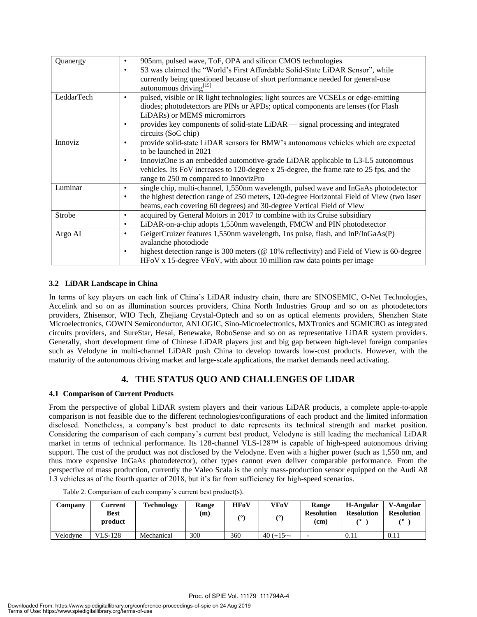| Quanergy   | 905nm, pulsed wave, ToF, OPA and silicon CMOS technologies<br>$\bullet$<br>S3 was claimed the "World's First Affordable Solid-State LiDAR Sensor", while<br>٠<br>currently being questioned because of short performance needed for general-use<br>autonomous driving <sup>[15]</sup>                                                                  |
|------------|--------------------------------------------------------------------------------------------------------------------------------------------------------------------------------------------------------------------------------------------------------------------------------------------------------------------------------------------------------|
| LeddarTech | pulsed, visible or IR light technologies; light sources are VCSELs or edge-emitting<br>٠<br>diodes; photodetectors are PINs or APDs; optical components are lenses (for Flash<br>LiDARs) or MEMS micromirrors<br>provides key components of solid-state LiDAR — signal processing and integrated<br>٠<br>circuits (SoC chip)                           |
| Innoviz    | provide solid-state LiDAR sensors for BMW's autonomous vehicles which are expected<br>٠<br>to be launched in 2021<br>InnovizOne is an embedded automotive-grade LiDAR applicable to L3-L5 autonomous<br>$\bullet$<br>vehicles. Its FoV increases to 120-degree x 25-degree, the frame rate to 25 fps, and the<br>range to 250 m compared to InnovizPro |
| Luminar    | single chip, multi-channel, 1,550nm wavelength, pulsed wave and InGaAs photodetector<br>the highest detection range of 250 meters, 120-degree Horizontal Field of View (two laser<br>$\bullet$<br>beams, each covering 60 degrees) and 30-degree Vertical Field of View                                                                                |
| Strobe     | acquired by General Motors in 2017 to combine with its Cruise subsidiary<br>٠<br>LiDAR-on-a-chip adopts 1,550nm wavelength, FMCW and PIN photodetector<br>٠                                                                                                                                                                                            |
| Argo AI    | GeigerCruizer features 1,550nm wavelength, 1ns pulse, flash, and InP/InGaAs(P)<br>٠<br>avalanche photodiode<br>highest detection range is 300 meters ( $@10\%$ reflectivity) and Field of View is 60-degree<br>$\bullet$<br>HFoV x 15-degree VFoV, with about 10 million raw data points per image                                                     |

#### **3.2 LiDAR Landscape in China**

In terms of key players on each link of China's LiDAR industry chain, there are SINOSEMIC, O-Net Technologies, Accelink and so on as illumination sources providers, China North Industries Group and so on as photodetectors providers, Zhisensor, WIO Tech, Zhejiang Crystal-Optech and so on as optical elements providers, Shenzhen State Microelectronics, GOWIN Semiconductor, ANLOGIC, Sino-Microelectronics, MXTronics and SGMICRO as integrated circuits providers, and SureStar, Hesai, Benewake, RoboSense and so on as representative LiDAR system providers. Generally, short development time of Chinese LiDAR players just and big gap between high-level foreign companies such as Velodyne in multi-channel LiDAR push China to develop towards low-cost products. However, with the maturity of the autonomous driving market and large-scale applications, the market demands need activating.

#### **4. THE STATUS QUO AND CHALLENGES OF LIDAR**

#### **4.1 Comparison of Current Products**

From the perspective of global LiDAR system players and their various LiDAR products, a complete apple-to-apple comparison is not feasible due to the different technologies/configurations of each product and the limited information disclosed. Nonetheless, a company's best product to date represents its technical strength and market position. Considering the comparison of each company's current best product, Velodyne is still leading the mechanical LiDAR market in terms of technical performance. Its 128-channel VLS-128™ is capable of high-speed autonomous driving support. The cost of the product was not disclosed by the Velodyne. Even with a higher power (such as 1,550 nm, and thus more expensive InGaAs photodetector), other types cannot even deliver comparable performance. From the perspective of mass production, currently the Valeo Scala is the only mass-production sensor equipped on the Audi A8 L3 vehicles as of the fourth quarter of 2018, but it's far from sufficiency for high-speed scenarios.

| Company  | Current<br><b>Best</b><br>product | <b>Technology</b> | Range<br>(m) | HFoV<br>$\alpha$ | <b>VFoV</b> | <b>Range</b><br><b>Resolution</b><br>(cm) | H-Angular<br><b>Resolution</b> | V-Angular<br><b>Resolution</b> |
|----------|-----------------------------------|-------------------|--------------|------------------|-------------|-------------------------------------------|--------------------------------|--------------------------------|
| Velodyne | <b>VLS-128</b>                    | Mechanical        | 300          | 360              | $40 (+15 -$ |                                           | $0.11\,$                       | 0.11                           |

Table 2. Comparison of each company's current best product(s).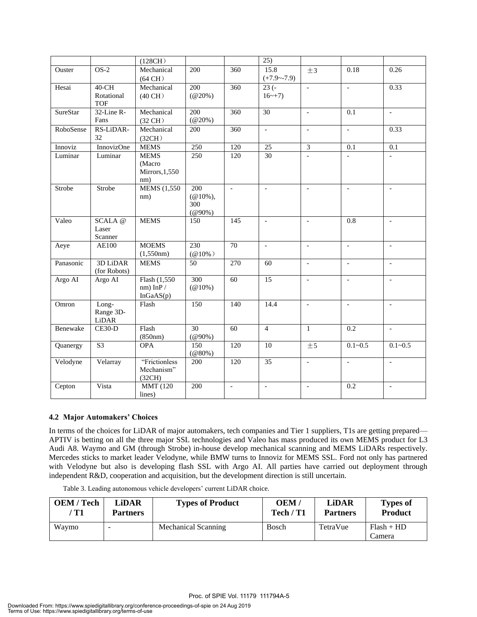|                 |                                   | (128CH)                                        |                                             |                          | $\overline{25)}$         |                          |                          |                          |
|-----------------|-----------------------------------|------------------------------------------------|---------------------------------------------|--------------------------|--------------------------|--------------------------|--------------------------|--------------------------|
| Ouster          | $OS-2$                            | Mechanical<br>$(64 \text{ CH})$                | 200                                         | 360                      | 15.8<br>$(+7.9 - 7.9)$   | ±3                       | 0.18                     | 0.26                     |
| Hesai           | 40-CH<br>Rotational<br><b>TOF</b> | Mechanical<br>$(40 \text{ CH})$                | 200<br>$(Q20\%)$                            | 360                      | $23(-$<br>$16~+7)$       | $\equiv$                 | $\overline{\phantom{a}}$ | 0.33                     |
| <b>SureStar</b> | 32-Line R-<br>Fans                | Mechanical<br>$(32 \text{ CH})$                | 200<br>$(Q20\%)$                            | 360                      | $\overline{30}$          | $\sim$                   | 0.1                      | $\mathbb{L}$             |
| RoboSense       | RS-LiDAR-<br>32                   | Mechanical<br>(32CH)                           | 200                                         | 360                      | $\overline{\phantom{a}}$ | $\overline{\phantom{a}}$ | $\blacksquare$           | 0.33                     |
| Innoviz         | InnovizOne                        | <b>MEMS</b>                                    | 250                                         | 120                      | 25                       | $\overline{\mathbf{3}}$  | 0.1                      | 0.1                      |
| Luminar         | Luminar                           | <b>MEMS</b><br>(Macro<br>Mirrors, 1,550<br>nm) | 250                                         | 120                      | $\overline{30}$          |                          |                          |                          |
| Strobe          | Strobe                            | <b>MEMS</b> (1,550)<br>nm)                     | 200<br>$(\omega 10\%),$<br>300<br>$(@90\%)$ | $\frac{1}{2}$            | $\overline{\phantom{a}}$ | $\overline{\phantom{a}}$ | $\overline{\phantom{a}}$ | $\bar{a}$                |
| Valeo           | SCALA@<br>Laser<br>Scanner        | <b>MEMS</b>                                    | 150                                         | 145                      | $\mathbf{r}$             | $\mathbf{r}$             | $\overline{0.8}$         | $\mathcal{L}$            |
| Aeye            | <b>AE100</b>                      | <b>MOEMS</b><br>(1,550nm)                      | $\overline{230}$<br>$(@10\%)$               | 70                       | $\overline{\phantom{a}}$ | $\sim$                   | $\mathbf{r}$             | $\mathbf{r}$             |
| Panasonic       | <b>3D LiDAR</b><br>(for Robots)   | <b>MEMS</b>                                    | 50                                          | 270                      | 60                       | $\blacksquare$           | $\blacksquare$           | $\overline{\phantom{a}}$ |
| Argo AI         | Argo AI                           | Flash (1,550)<br>$nm)$ InP /<br>InGaAS(p)      | 300<br>$(Q(10\%)$                           | 60                       | 15                       | $\equiv$                 | $\equiv$                 | $\overline{\phantom{a}}$ |
| Omron           | Long-<br>Range 3D-<br>LiDAR       | Flash                                          | 150                                         | 140                      | 14.4                     | $\sim$                   | $\mathcal{L}$            | $\mathcal{L}$            |
| Benewake        | $CE30-D$                          | Flash<br>(850nm)                               | $\overline{30}$<br>$(@90\%)$                | 60                       | $\overline{4}$           | $\mathbf{1}$             | 0.2                      | $\mathbf{L}$             |
| Quanergy        | S <sub>3</sub>                    | <b>OPA</b>                                     | 150<br>(@80%                                | 120                      | 10                       | ±5                       | $0.1 - 0.5$              | $0.1 - 0.5$              |
| Velodyne        | Velarray                          | "Frictionless<br>Mechanism"<br>(32CH)          | 200                                         | 120                      | 35                       | $\overline{a}$           | $\overline{a}$           | $\overline{a}$           |
| Cepton          | Vista                             | <b>MMT</b> (120<br>lines)                      | 200                                         | $\overline{\phantom{a}}$ | $\blacksquare$           | $\blacksquare$           | 0.2                      | $\overline{\phantom{a}}$ |

#### **4.2 Major Automakers' Choices**

In terms of the choices for LiDAR of major automakers, tech companies and Tier 1 suppliers, T1s are getting prepared— APTIV is betting on all the three major SSL technologies and Valeo has mass produced its own MEMS product for L3 Audi A8. Waymo and GM (through Strobe) in-house develop mechanical scanning and MEMS LiDARs respectively. Mercedes sticks to market leader Velodyne, while BMW turns to Innoviz for MEMS SSL. Ford not only has partnered with Velodyne but also is developing flash SSL with Argo AI. All parties have carried out deployment through independent R&D, cooperation and acquisition, but the development direction is still uncertain.

| <b>OEM</b> / Tech | LiDAR           | <b>Types of Product</b> | OEM/      | <b>LiDAR</b>    | <b>Types of</b>        |
|-------------------|-----------------|-------------------------|-----------|-----------------|------------------------|
| T1                | <b>Partners</b> |                         | Tech / T1 | <b>Partners</b> | <b>Product</b>         |
| Waymo             |                 | Mechanical Scanning     | Bosch     | TetraVue        | $Flash + HD$<br>Camera |

Table 3. Leading autonomous vehicle developers' current LiDAR choice.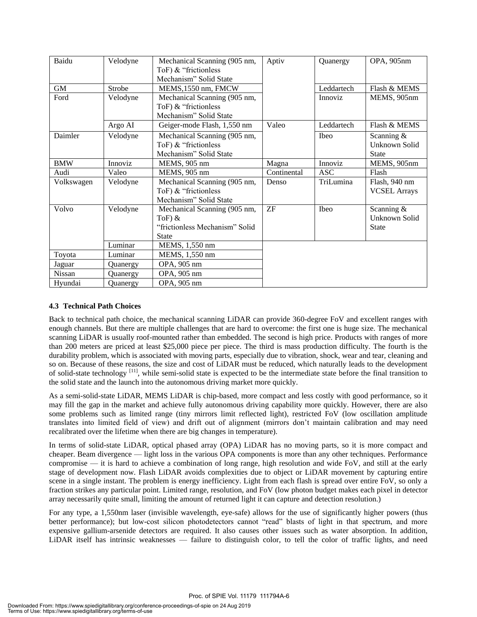| Baidu      | Velodyne | Mechanical Scanning (905 nm,   | Aptiv       | Quanergy       | OPA, 905nm          |
|------------|----------|--------------------------------|-------------|----------------|---------------------|
|            |          | ToF) & "frictionless           |             |                |                     |
|            |          | Mechanism" Solid State         |             |                |                     |
| <b>GM</b>  | Strobe   | MEMS, 1550 nm, FMCW            |             | Leddartech     | Flash & MEMS        |
| Ford       | Velodyne | Mechanical Scanning (905 nm,   |             | <i>Innoviz</i> | MEMS, 905nm         |
|            |          | ToF) & "frictionless           |             |                |                     |
|            |          | Mechanism" Solid State         |             |                |                     |
|            | Argo AI  | Geiger-mode Flash, 1,550 nm    | Valeo       | Leddartech     | Flash & MEMS        |
| Daimler    | Velodyne | Mechanical Scanning (905 nm,   |             | Ibeo           | Scanning $&$        |
|            |          | ToF) & "frictionless           |             |                | Unknown Solid       |
|            |          | Mechanism" Solid State         |             |                | <b>State</b>        |
| <b>BMW</b> | Innoviz  | MEMS, 905 nm                   | Magna       | Innoviz        | MEMS, 905nm         |
| Audi       | Valeo    | MEMS, 905 nm                   | Continental | <b>ASC</b>     | Flash               |
| Volkswagen | Velodyne | Mechanical Scanning (905 nm,   | Denso       | TriLumina      | Flash, 940 nm       |
|            |          | ToF) & "frictionless           |             |                | <b>VCSEL Arrays</b> |
|            |          | Mechanism" Solid State         |             |                |                     |
| Volvo      | Velodyne | Mechanical Scanning (905 nm,   | ZF          | Ibeo           | Scanning $&$        |
|            |          | ToF) $&$                       |             |                | Unknown Solid       |
|            |          | "frictionless Mechanism" Solid |             |                | State               |
|            |          | <b>State</b>                   |             |                |                     |
|            | Luminar  | MEMS, 1,550 nm                 |             |                |                     |
| Toyota     | Luminar  | MEMS, 1,550 nm                 |             |                |                     |
| Jaguar     | Quanergy | OPA, 905 nm                    |             |                |                     |
| Nissan     | Quanergy | OPA, 905 nm                    |             |                |                     |
| Hyundai    | Quanergy | OPA, 905 nm                    |             |                |                     |

#### **4.3 Technical Path Choices**

Back to technical path choice, the mechanical scanning LiDAR can provide 360-degree FoV and excellent ranges with enough channels. But there are multiple challenges that are hard to overcome: the first one is huge size. The mechanical scanning LiDAR is usually roof-mounted rather than embedded. The second is high price. Products with ranges of more than 200 meters are priced at least \$25,000 piece per piece. The third is mass production difficulty. The fourth is the durability problem, which is associated with moving parts, especially due to vibration, shock, wear and tear, cleaning and so on. Because of these reasons, the size and cost of LiDAR must be reduced, which naturally leads to the development of solid-state technology [11], while semi-solid state is expected to be the intermediate state before the final transition to the solid state and the launch into the autonomous driving market more quickly.

As a semi-solid-state LiDAR, MEMS LiDAR is chip-based, more compact and less costly with good performance, so it may fill the gap in the market and achieve fully autonomous driving capability more quickly. However, there are also some problems such as limited range (tiny mirrors limit reflected light), restricted FoV (low oscillation amplitude translates into limited field of view) and drift out of alignment (mirrors don't maintain calibration and may need recalibrated over the lifetime when there are big changes in temperature).

In terms of solid-state LiDAR, optical phased array (OPA) LiDAR has no moving parts, so it is more compact and cheaper. Beam divergence — light loss in the various OPA components is more than any other techniques. Performance compromise — it is hard to achieve a combination of long range, high resolution and wide FoV, and still at the early stage of development now. Flash LiDAR avoids complexities due to object or LiDAR movement by capturing entire scene in a single instant. The problem is energy inefficiency. Light from each flash is spread over entire FoV, so only a fraction strikes any particular point. Limited range, resolution, and FoV (low photon budget makes each pixel in detector array necessarily quite small, limiting the amount of returned light it can capture and detection resolution.)

For any type, a 1,550nm laser (invisible wavelength, eye-safe) allows for the use of significantly higher powers (thus better performance); but low-cost silicon photodetectors cannot "read" blasts of light in that spectrum, and more expensive gallium-arsenide detectors are required. It also causes other issues such as water absorption. In addition, LiDAR itself has intrinsic weaknesses — failure to distinguish color, to tell the color of traffic lights, and need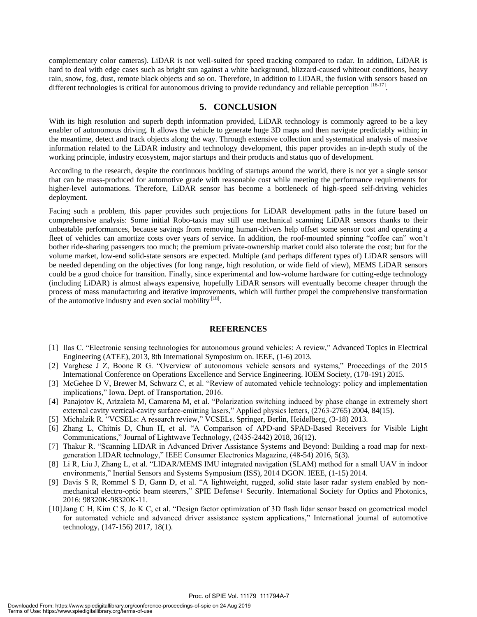complementary color cameras). LiDAR is not well-suited for speed tracking compared to radar. In addition, LiDAR is hard to deal with edge cases such as bright sun against a white background, blizzard-caused whiteout conditions, heavy rain, snow, fog, dust, remote black objects and so on. Therefore, in addition to LiDAR, the fusion with sensors based on different technologies is critical for autonomous driving to provide redundancy and reliable perception [16-17].

#### **5. CONCLUSION**

With its high resolution and superb depth information provided, LiDAR technology is commonly agreed to be a key enabler of autonomous driving. It allows the vehicle to generate huge 3D maps and then navigate predictably within; in the meantime, detect and track objects along the way. Through extensive collection and systematical analysis of massive information related to the LiDAR industry and technology development, this paper provides an in-depth study of the working principle, industry ecosystem, major startups and their products and status quo of development.

According to the research, despite the continuous budding of startups around the world, there is not yet a single sensor that can be mass-produced for automotive grade with reasonable cost while meeting the performance requirements for higher-level automations. Therefore, LiDAR sensor has become a bottleneck of high-speed self-driving vehicles deployment.

Facing such a problem, this paper provides such projections for LiDAR development paths in the future based on comprehensive analysis: Some initial Robo-taxis may still use mechanical scanning LiDAR sensors thanks to their unbeatable performances, because savings from removing human-drivers help offset some sensor cost and operating a fleet of vehicles can amortize costs over years of service. In addition, the roof-mounted spinning "coffee can" won't bother ride-sharing passengers too much; the premium private-ownership market could also tolerate the cost; but for the volume market, low-end solid-state sensors are expected. Multiple (and perhaps different types of) LiDAR sensors will be needed depending on the objectives (for long range, high resolution, or wide field of view), MEMS LiDAR sensors could be a good choice for transition. Finally, since experimental and low-volume hardware for cutting-edge technology (including LiDAR) is almost always expensive, hopefully LiDAR sensors will eventually become cheaper through the process of mass manufacturing and iterative improvements, which will further propel the comprehensive transformation of the automotive industry and even social mobility  $^{[18]}$ .

#### **REFERENCES**

- [1] Ilas C. "Electronic sensing technologies for autonomous ground vehicles: A review," Advanced Topics in Electrical Engineering (ATEE), 2013, 8th International Symposium on. IEEE, (1-6) 2013.
- [2] Varghese J Z, Boone R G. "Overview of autonomous vehicle sensors and systems," Proceedings of the 2015 International Conference on Operations Excellence and Service Engineering. IOEM Society, (178-191) 2015.
- [3] McGehee D V, Brewer M, Schwarz C, et al. "Review of automated vehicle technology: policy and implementation implications," Iowa. Dept. of Transportation, 2016.
- [4] Panajotov K, Arizaleta M, Camarena M, et al. "Polarization switching induced by phase change in extremely short external cavity vertical-cavity surface-emitting lasers," Applied physics letters, (2763-2765) 2004, 84(15).
- [5] Michalzik R. "VCSELs: A research review," VCSELs. Springer, Berlin, Heidelberg, (3-18) 2013.
- [6] Zhang L, Chitnis D, Chun H, et al. "A Comparison of APD-and SPAD-Based Receivers for Visible Light Communications," Journal of Lightwave Technology, (2435-2442) 2018, 36(12).
- [7] Thakur R. "Scanning LIDAR in Advanced Driver Assistance Systems and Beyond: Building a road map for nextgeneration LIDAR technology," IEEE Consumer Electronics Magazine, (48-54) 2016, 5(3).
- [8] Li R, Liu J, Zhang L, et al. "LIDAR/MEMS IMU integrated navigation (SLAM) method for a small UAV in indoor environments," Inertial Sensors and Systems Symposium (ISS), 2014 DGON. IEEE, (1-15) 2014.
- [9] Davis S R, Rommel S D, Gann D, et al. "A lightweight, rugged, solid state laser radar system enabled by nonmechanical electro-optic beam steerers," SPIE Defense+ Security. International Society for Optics and Photonics, 2016: 98320K-98320K-11.
- [10]Jang C H, Kim C S, Jo K C, et al. "Design factor optimization of 3D flash lidar sensor based on geometrical model for automated vehicle and advanced driver assistance system applications," International journal of automotive technology, (147-156) 2017, 18(1).